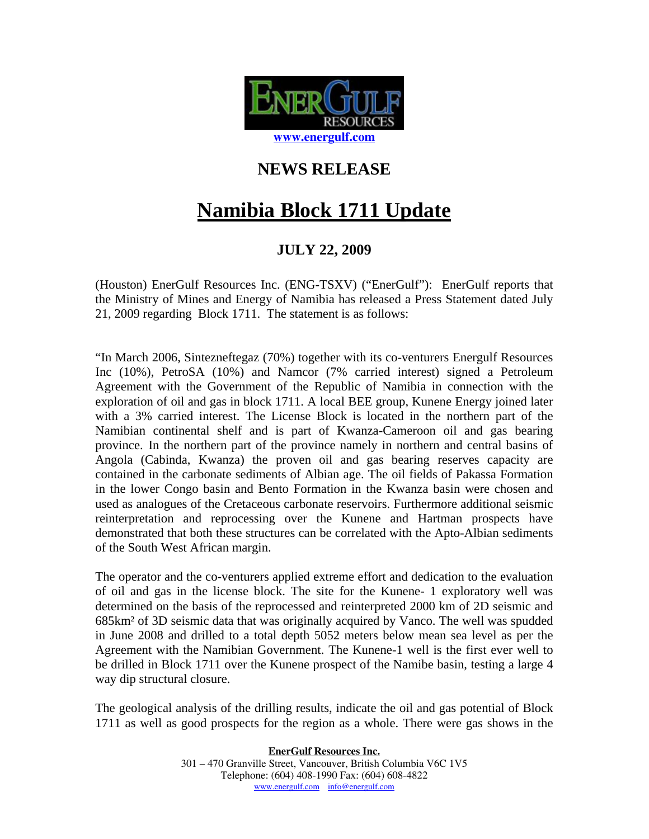

## **NEWS RELEASE**

## **Namibia Block 1711 Update**

## **JULY 22, 2009**

(Houston) EnerGulf Resources Inc. (ENG-TSXV) ("EnerGulf"): EnerGulf reports that the Ministry of Mines and Energy of Namibia has released a Press Statement dated July 21, 2009 regarding Block 1711. The statement is as follows:

"In March 2006, Sintezneftegaz (70%) together with its co-venturers Energulf Resources Inc (10%), PetroSA (10%) and Namcor (7% carried interest) signed a Petroleum Agreement with the Government of the Republic of Namibia in connection with the exploration of oil and gas in block 1711. A local BEE group, Kunene Energy joined later with a 3% carried interest. The License Block is located in the northern part of the Namibian continental shelf and is part of Kwanza-Cameroon oil and gas bearing province. In the northern part of the province namely in northern and central basins of Angola (Cabinda, Kwanza) the proven oil and gas bearing reserves capacity are contained in the carbonate sediments of Albian age. The oil fields of Pakassa Formation in the lower Congo basin and Bento Formation in the Kwanza basin were chosen and used as analogues of the Cretaceous carbonate reservoirs. Furthermore additional seismic reinterpretation and reprocessing over the Kunene and Hartman prospects have demonstrated that both these structures can be correlated with the Apto-Albian sediments of the South West African margin.

The operator and the co-venturers applied extreme effort and dedication to the evaluation of oil and gas in the license block. The site for the Kunene- 1 exploratory well was determined on the basis of the reprocessed and reinterpreted 2000 km of 2D seismic and 685km² of 3D seismic data that was originally acquired by Vanco. The well was spudded in June 2008 and drilled to a total depth 5052 meters below mean sea level as per the Agreement with the Namibian Government. The Kunene-1 well is the first ever well to be drilled in Block 1711 over the Kunene prospect of the Namibe basin, testing a large 4 way dip structural closure.

The geological analysis of the drilling results, indicate the oil and gas potential of Block 1711 as well as good prospects for the region as a whole. There were gas shows in the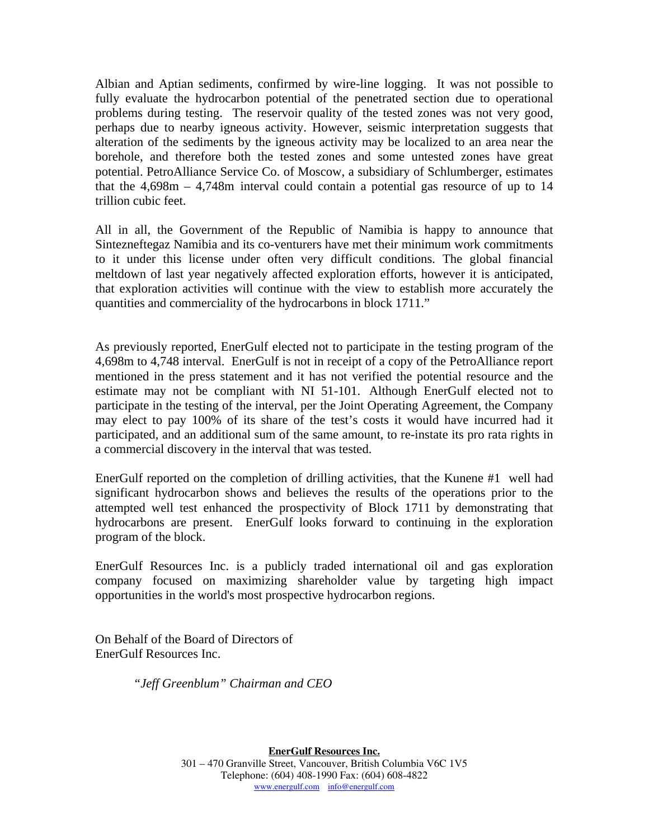Albian and Aptian sediments, confirmed by wire-line logging. It was not possible to fully evaluate the hydrocarbon potential of the penetrated section due to operational problems during testing. The reservoir quality of the tested zones was not very good, perhaps due to nearby igneous activity. However, seismic interpretation suggests that alteration of the sediments by the igneous activity may be localized to an area near the borehole, and therefore both the tested zones and some untested zones have great potential. PetroAlliance Service Co. of Moscow, a subsidiary of Schlumberger, estimates that the 4,698m – 4,748m interval could contain a potential gas resource of up to 14 trillion cubic feet.

All in all, the Government of the Republic of Namibia is happy to announce that Sintezneftegaz Namibia and its co-venturers have met their minimum work commitments to it under this license under often very difficult conditions. The global financial meltdown of last year negatively affected exploration efforts, however it is anticipated, that exploration activities will continue with the view to establish more accurately the quantities and commerciality of the hydrocarbons in block 1711."

As previously reported, EnerGulf elected not to participate in the testing program of the 4,698m to 4,748 interval. EnerGulf is not in receipt of a copy of the PetroAlliance report mentioned in the press statement and it has not verified the potential resource and the estimate may not be compliant with NI 51-101. Although EnerGulf elected not to participate in the testing of the interval, per the Joint Operating Agreement, the Company may elect to pay 100% of its share of the test's costs it would have incurred had it participated, and an additional sum of the same amount, to re-instate its pro rata rights in a commercial discovery in the interval that was tested.

EnerGulf reported on the completion of drilling activities, that the Kunene #1 well had significant hydrocarbon shows and believes the results of the operations prior to the attempted well test enhanced the prospectivity of Block 1711 by demonstrating that hydrocarbons are present. EnerGulf looks forward to continuing in the exploration program of the block.

EnerGulf Resources Inc. is a publicly traded international oil and gas exploration company focused on maximizing shareholder value by targeting high impact opportunities in the world's most prospective hydrocarbon regions.

On Behalf of the Board of Directors of EnerGulf Resources Inc.

*"Jeff Greenblum" Chairman and CEO*